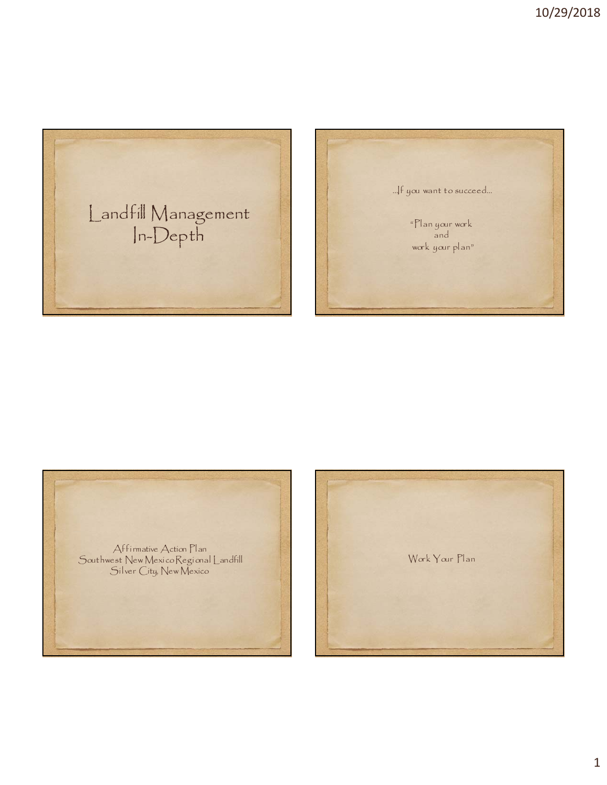





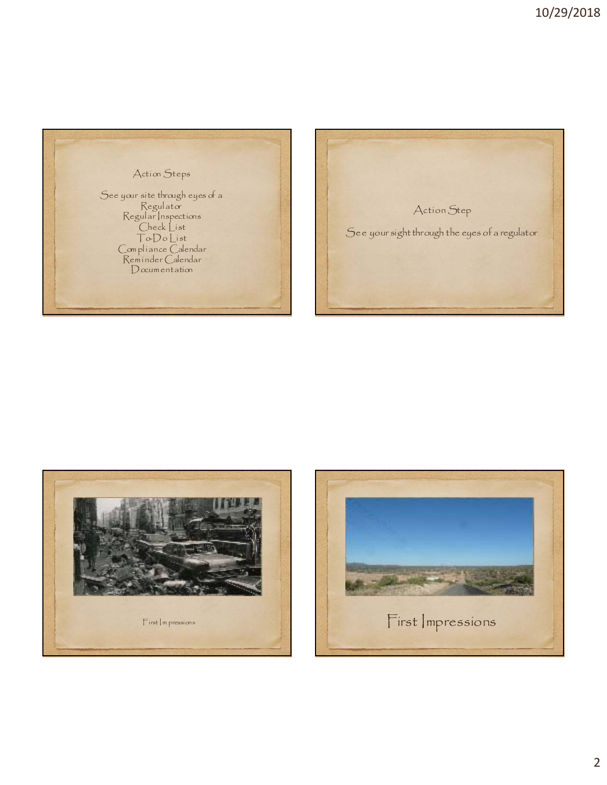





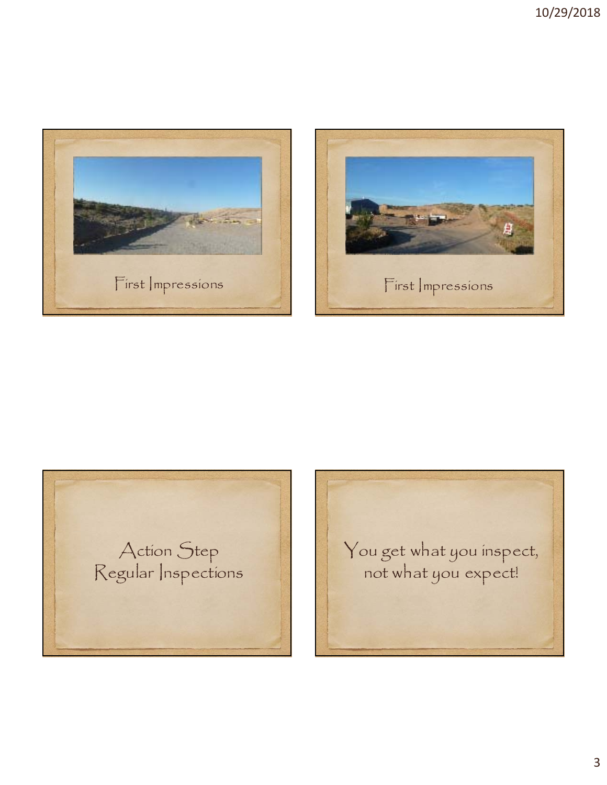





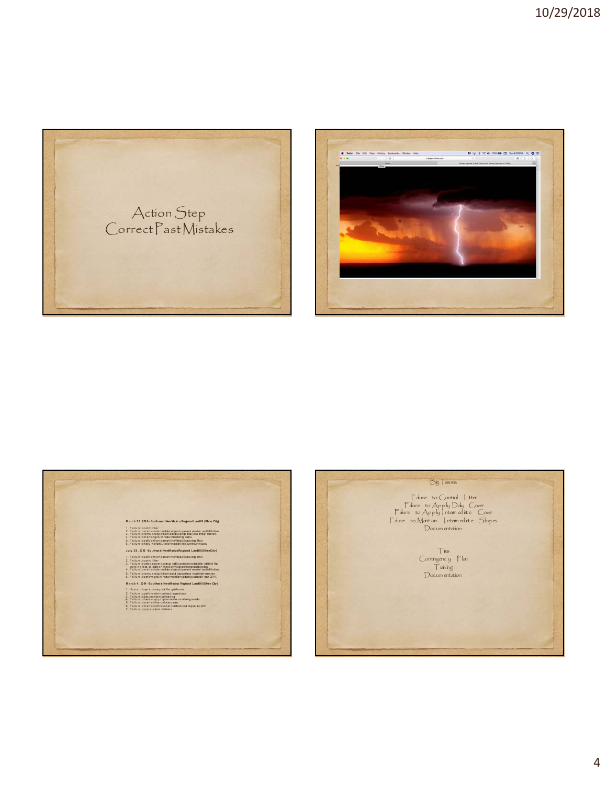





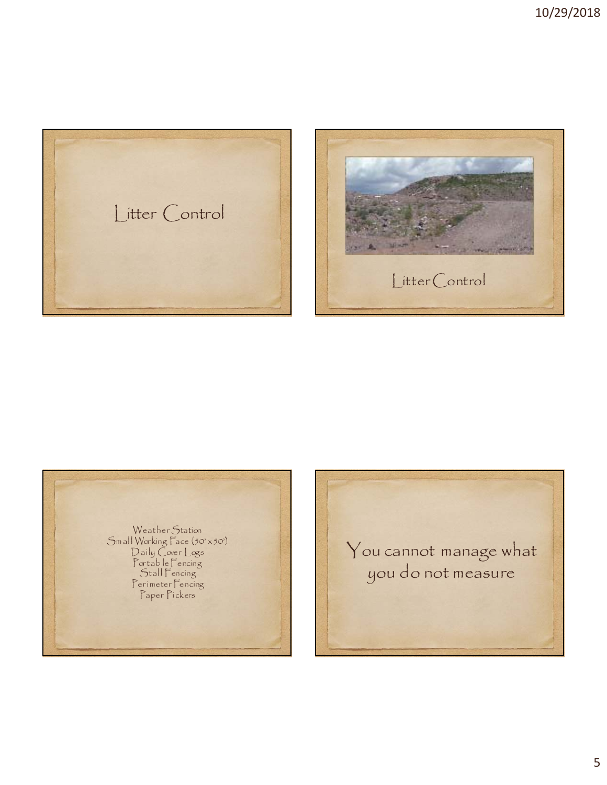





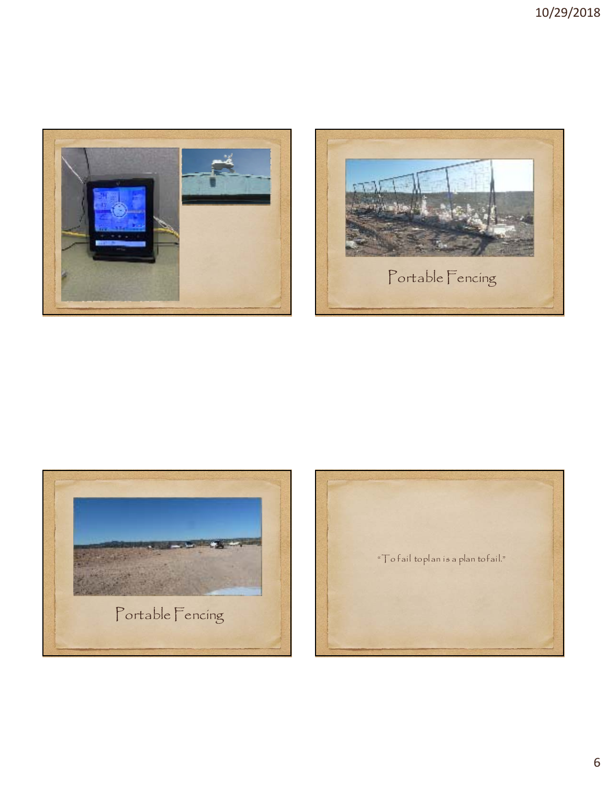





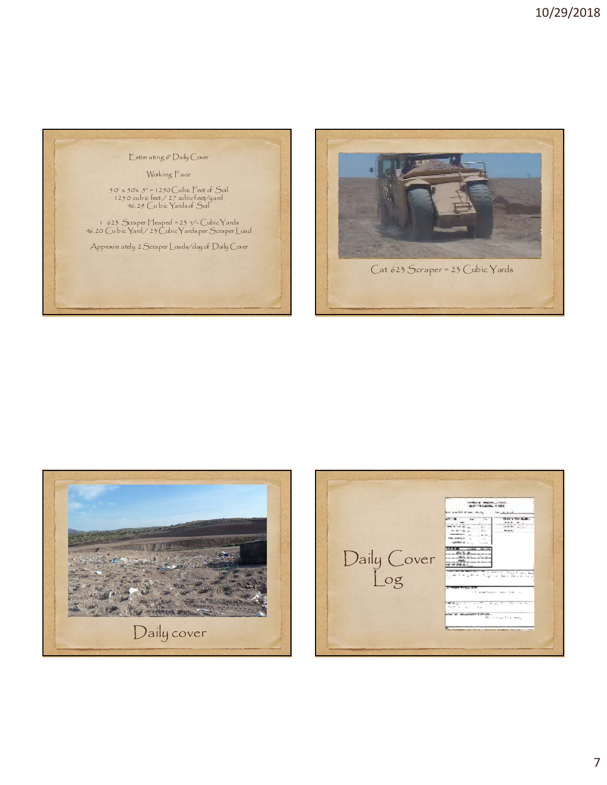





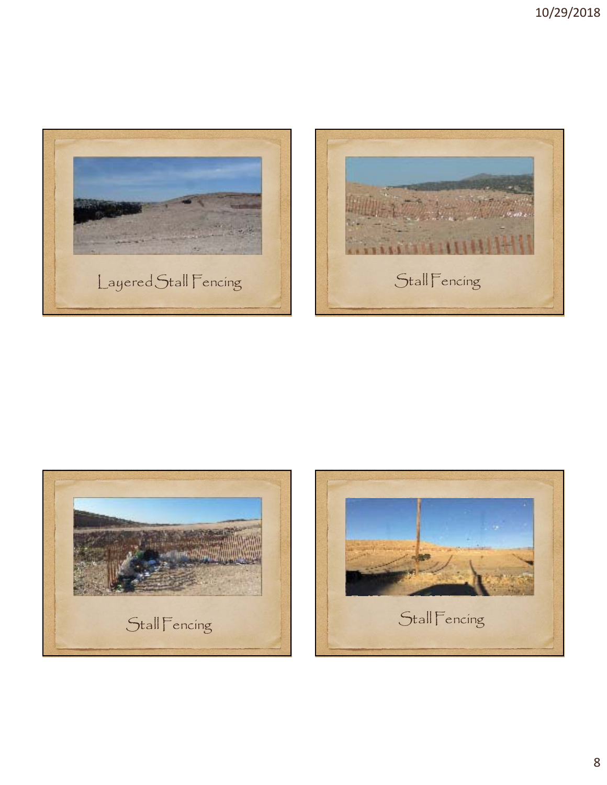





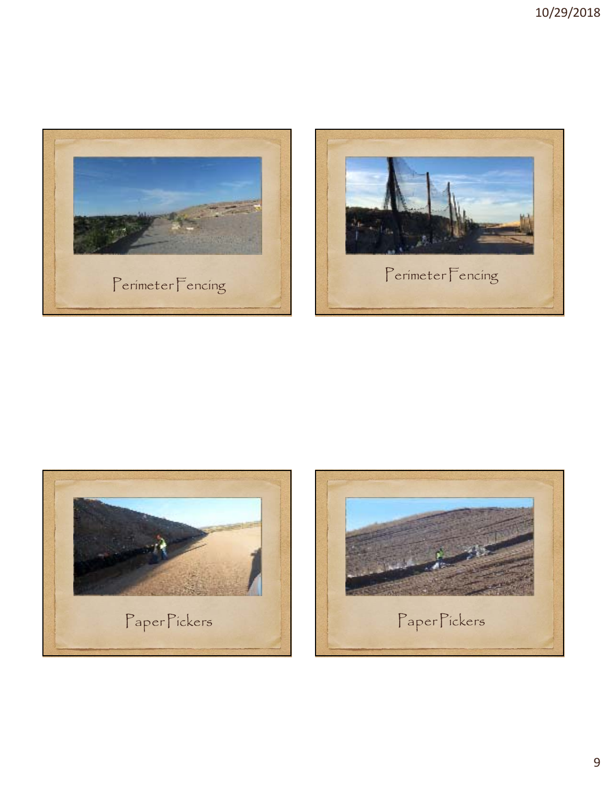





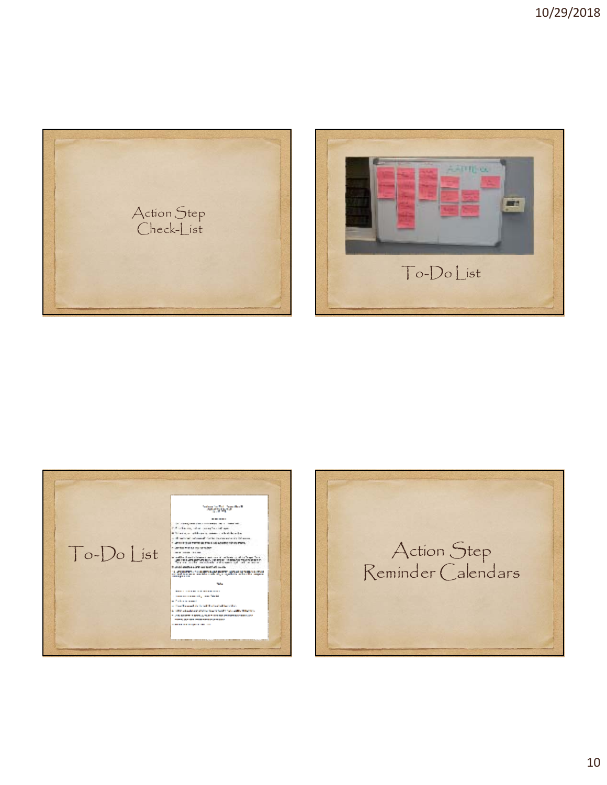